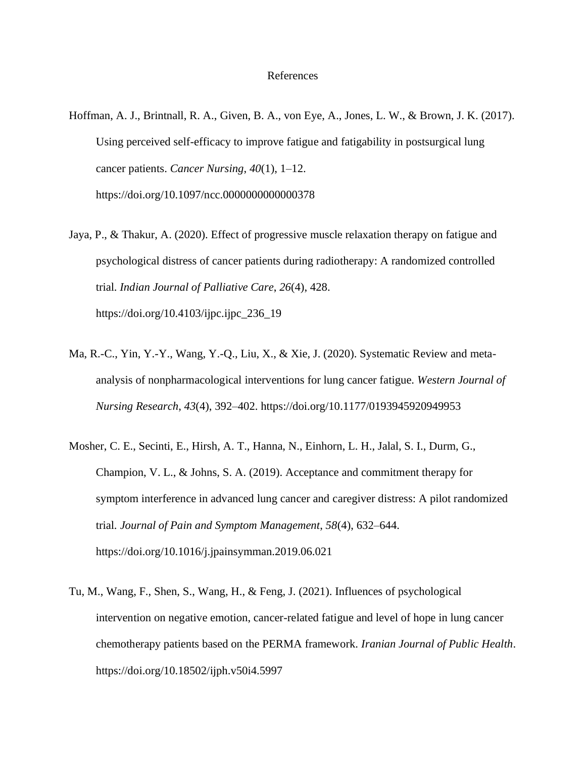## References

- Hoffman, A. J., Brintnall, R. A., Given, B. A., von Eye, A., Jones, L. W., & Brown, J. K. (2017). Using perceived self-efficacy to improve fatigue and fatigability in postsurgical lung cancer patients. *Cancer Nursing*, *40*(1), 1–12. <https://doi.org/10.1097/ncc.0000000000000378>
- Jaya, P., & Thakur, A. (2020). Effect of progressive muscle relaxation therapy on fatigue and psychological distress of cancer patients during radiotherapy: A randomized controlled trial. *Indian Journal of Palliative Care*, *26*(4), 428. [https://doi.org/10.4103/ijpc.ijpc\\_236\\_19](https://doi.org/10.4103/ijpc.ijpc_236_19)
- Ma, R.-C., Yin, Y.-Y., Wang, Y.-Q., Liu, X., & Xie, J. (2020). Systematic Review and metaanalysis of nonpharmacological interventions for lung cancer fatigue. *Western Journal of Nursing Research*, *43*(4), 392–402. https://doi.org/10.1177/0193945920949953
- Mosher, C. E., Secinti, E., Hirsh, A. T., Hanna, N., Einhorn, L. H., Jalal, S. I., Durm, G., Champion, V. L., & Johns, S. A. (2019). Acceptance and commitment therapy for symptom interference in advanced lung cancer and caregiver distress: A pilot randomized trial. *Journal of Pain and Symptom Management*, *58*(4), 632–644. https://doi.org/10.1016/j.jpainsymman.2019.06.021
- Tu, M., Wang, F., Shen, S., Wang, H., & Feng, J. (2021). Influences of psychological intervention on negative emotion, cancer-related fatigue and level of hope in lung cancer chemotherapy patients based on the PERMA framework. *Iranian Journal of Public Health*. https://doi.org/10.18502/ijph.v50i4.5997